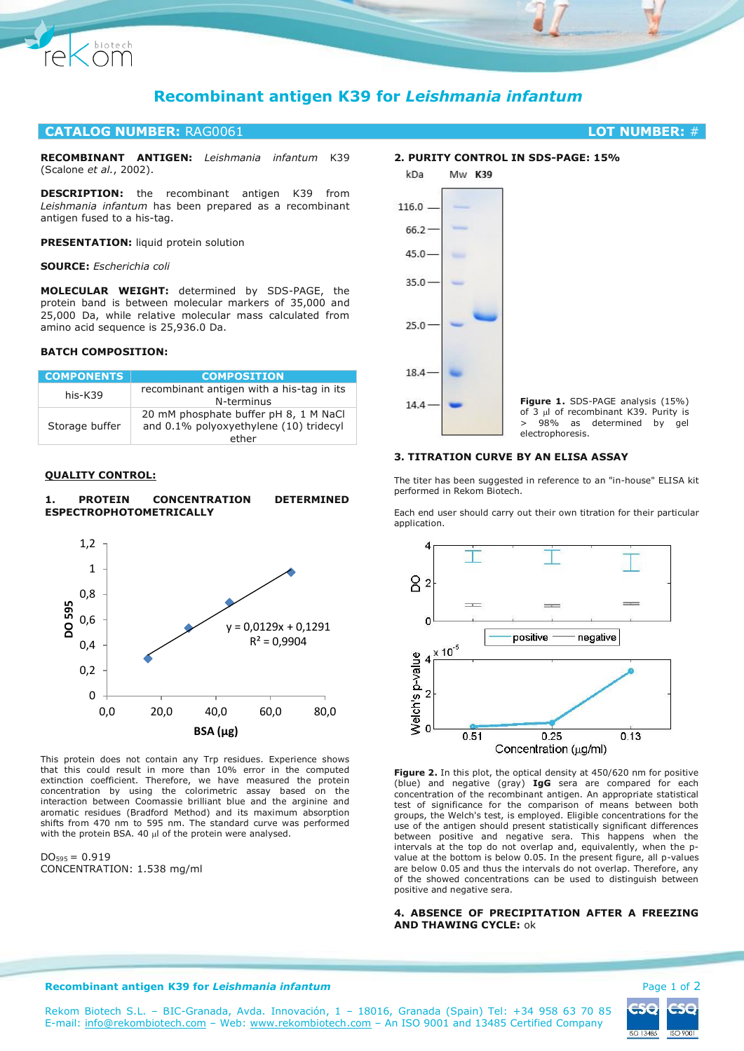

# **Recombinant antigen K39 for** *Leishmania infantum*

# **CATALOG NUMBER:** RAG0061 **LOT NUMBER:** #

**RECOMBINANT ANTIGEN:** *Leishmania infantum* K39 (Scalone *et al.*, 2002).

**DESCRIPTION:** the recombinant antigen K39 from *Leishmania infantum* has been prepared as a recombinant antigen fused to a his-tag.

**PRESENTATION:** liquid protein solution

#### **SOURCE:** *Escherichia coli*

**MOLECULAR WEIGHT:** determined by SDS-PAGE, the protein band is between molecular markers of 35,000 and 25,000 Da, while relative molecular mass calculated from amino acid sequence is 25,936.0 Da.

# **BATCH COMPOSITION:**

| <b>COMPONENTS</b> | <b>COMPOSITION</b>                                                                       |
|-------------------|------------------------------------------------------------------------------------------|
| his-K39           | recombinant antigen with a his-tag in its<br>N-terminus                                  |
| Storage buffer    | 20 mM phosphate buffer pH 8, 1 M NaCl<br>and 0.1% polyoxyethylene (10) tridecyl<br>ether |

#### **QUALITY CONTROL:**

#### **1. PROTEIN CONCENTRATION DETERMINED ESPECTROPHOTOMETRICALLY**



This protein does not contain any Trp residues. Experience shows that this could result in more than 10% error in the computed extinction coefficient. Therefore, we have measured the protein concentration by using the colorimetric assay based on the interaction between Coomassie brilliant blue and the arginine and aromatic residues (Bradford Method) and its maximum absorption shifts from 470 nm to 595 nm. The standard curve was performed with the protein BSA. 40  $\mu$  of the protein were analysed.

 $DO<sub>595</sub> = 0.919$ CONCENTRATION: 1.538 mg/ml

# **2. PURITY CONTROL IN SDS-PAGE: 15%**



# **3. TITRATION CURVE BY AN ELISA ASSAY**

The titer has been suggested in reference to an "in-house" ELISA kit performed in Rekom Biotech.

Each end user should carry out their own titration for their particular application.



**Figure 2.** In this plot, the optical density at 450/620 nm for positive (blue) and negative (gray) **IgG** sera are compared for each concentration of the recombinant antigen. An appropriate statistical test of significance for the comparison of means between both groups, the Welch's test, is employed. Eligible concentrations for the use of the antigen should present statistically significant differences between positive and negative sera. This happens when the intervals at the top do not overlap and, equivalently, when the pvalue at the bottom is below 0.05. In the present figure, all p-values are below 0.05 and thus the intervals do not overlap. Therefore, any of the showed concentrations can be used to distinguish between positive and negative sera.

# **4. ABSENCE OF PRECIPITATION AFTER A FREEZING AND THAWING CYCLE:** ok



#### **Recombinant antigen K39 for Leishmania infantum Page 1 of 2 Page 1 of 2**

Rekom Biotech S.L. – BIC-Granada, Avda. Innovación, 1 – 18016, Granada (Spain) Tel: +34 958 63 70 85 E-mail: [info@rekombiotech.com](mailto:info@rekombiotech.com) – Web: [www.rekombiotech.com](file:///D:/Dropbox/Rekom/pdfs/www.rekombiotech.com) – An ISO 9001 and 13485 Certified Company